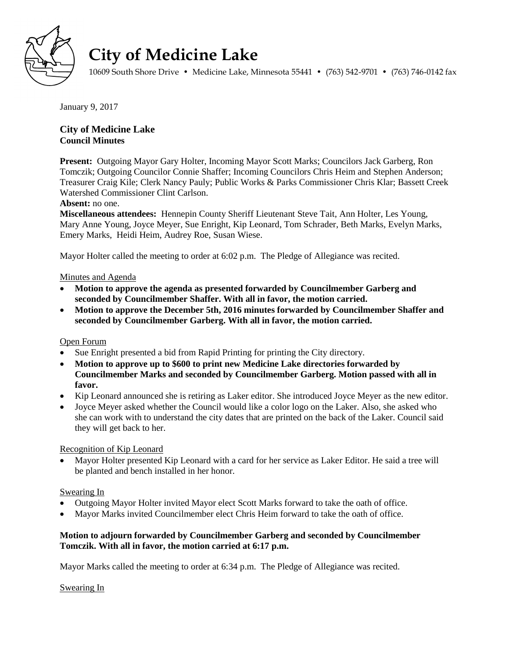

# **City of Medicine Lake**

10609 South Shore Drive • Medicine Lake, Minnesota 55441 • (763) 542-9701 • (763) 746-0142 fax

January 9, 2017

## **City of Medicine Lake Council Minutes**

**Present:** Outgoing Mayor Gary Holter, Incoming Mayor Scott Marks; Councilors Jack Garberg, Ron Tomczik; Outgoing Councilor Connie Shaffer; Incoming Councilors Chris Heim and Stephen Anderson; Treasurer Craig Kile; Clerk Nancy Pauly; Public Works & Parks Commissioner Chris Klar; Bassett Creek Watershed Commissioner Clint Carlson.

#### **Absent:** no one.

**Miscellaneous attendees:** Hennepin County Sheriff Lieutenant Steve Tait, Ann Holter, Les Young, Mary Anne Young, Joyce Meyer, Sue Enright, Kip Leonard, Tom Schrader, Beth Marks, Evelyn Marks, Emery Marks, Heidi Heim, Audrey Roe, Susan Wiese.

Mayor Holter called the meeting to order at 6:02 p.m. The Pledge of Allegiance was recited.

#### Minutes and Agenda

- **Motion to approve the agenda as presented forwarded by Councilmember Garberg and seconded by Councilmember Shaffer. With all in favor, the motion carried.**
- **Motion to approve the December 5th, 2016 minutes forwarded by Councilmember Shaffer and seconded by Councilmember Garberg. With all in favor, the motion carried.**

#### Open Forum

- Sue Enright presented a bid from Rapid Printing for printing the City directory.
- **Motion to approve up to \$600 to print new Medicine Lake directories forwarded by Councilmember Marks and seconded by Councilmember Garberg. Motion passed with all in favor.**
- Kip Leonard announced she is retiring as Laker editor. She introduced Joyce Meyer as the new editor.
- Joyce Meyer asked whether the Council would like a color logo on the Laker. Also, she asked who she can work with to understand the city dates that are printed on the back of the Laker. Council said they will get back to her.

#### Recognition of Kip Leonard

 Mayor Holter presented Kip Leonard with a card for her service as Laker Editor. He said a tree will be planted and bench installed in her honor.

## Swearing In

- Outgoing Mayor Holter invited Mayor elect Scott Marks forward to take the oath of office.
- Mayor Marks invited Councilmember elect Chris Heim forward to take the oath of office.

#### **Motion to adjourn forwarded by Councilmember Garberg and seconded by Councilmember Tomczik. With all in favor, the motion carried at 6:17 p.m.**

Mayor Marks called the meeting to order at 6:34 p.m. The Pledge of Allegiance was recited.

#### Swearing In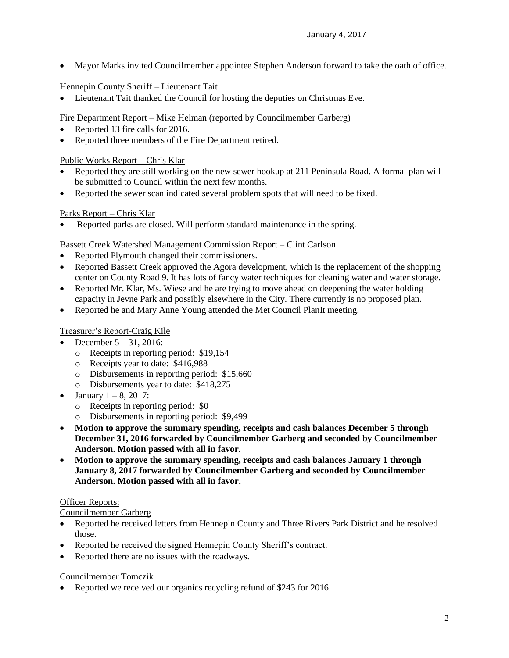Mayor Marks invited Councilmember appointee Stephen Anderson forward to take the oath of office.

# Hennepin County Sheriff – Lieutenant Tait

Lieutenant Tait thanked the Council for hosting the deputies on Christmas Eve.

Fire Department Report – Mike Helman (reported by Councilmember Garberg)

- Reported 13 fire calls for 2016.
- Reported three members of the Fire Department retired.

## Public Works Report – Chris Klar

- Reported they are still working on the new sewer hookup at 211 Peninsula Road. A formal plan will be submitted to Council within the next few months.
- Reported the sewer scan indicated several problem spots that will need to be fixed.

# Parks Report – Chris Klar

Reported parks are closed. Will perform standard maintenance in the spring.

# Bassett Creek Watershed Management Commission Report – Clint Carlson

- Reported Plymouth changed their commissioners.
- Reported Bassett Creek approved the Agora development, which is the replacement of the shopping center on County Road 9. It has lots of fancy water techniques for cleaning water and water storage.
- Reported Mr. Klar, Ms. Wiese and he are trying to move ahead on deepening the water holding capacity in Jevne Park and possibly elsewhere in the City. There currently is no proposed plan.
- Reported he and Mary Anne Young attended the Met Council PlanIt meeting.

# Treasurer's Report-Craig Kile

- December 5 31, 2016:
	- o Receipts in reporting period: \$19,154
	- o Receipts year to date: \$416,988
	- o Disbursements in reporting period: \$15,660
	- o Disbursements year to date: \$418,275
- January 1 8, 2017:
	- o Receipts in reporting period: \$0
	- o Disbursements in reporting period: \$9,499
- **Motion to approve the summary spending, receipts and cash balances December 5 through December 31, 2016 forwarded by Councilmember Garberg and seconded by Councilmember Anderson. Motion passed with all in favor.**
- **Motion to approve the summary spending, receipts and cash balances January 1 through January 8, 2017 forwarded by Councilmember Garberg and seconded by Councilmember Anderson. Motion passed with all in favor.**

## Officer Reports:

## Councilmember Garberg

- Reported he received letters from Hennepin County and Three Rivers Park District and he resolved those.
- Reported he received the signed Hennepin County Sheriff's contract.
- Reported there are no issues with the roadways.

## Councilmember Tomczik

• Reported we received our organics recycling refund of \$243 for 2016.